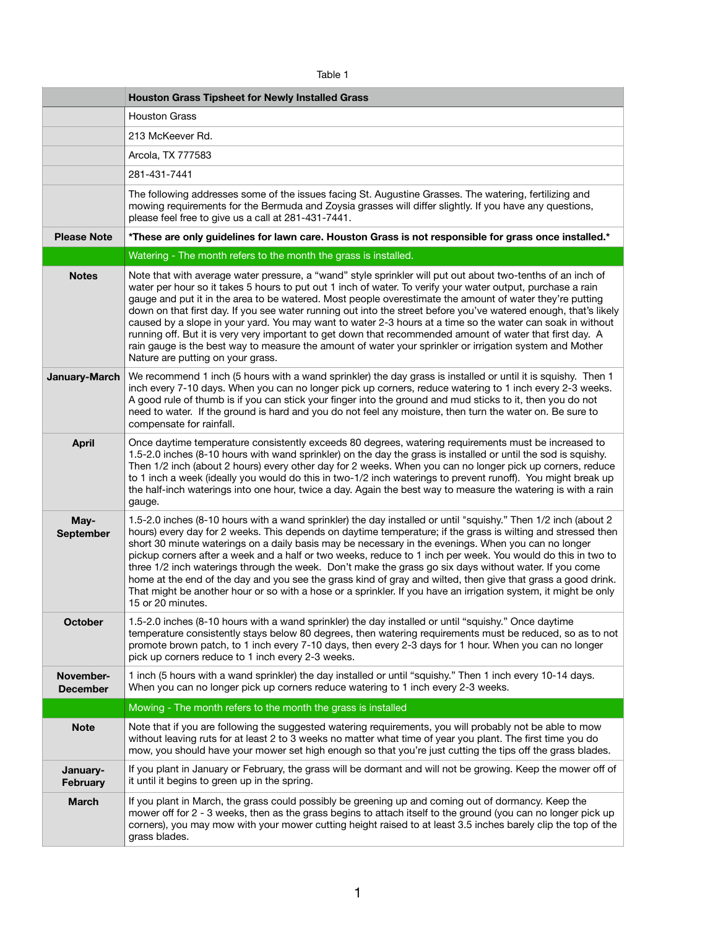| abie |  |  |
|------|--|--|
|      |  |  |

|                              | <b>Houston Grass Tipsheet for Newly Installed Grass</b>                                                                                                                                                                                                                                                                                                                                                                                                                                                                                                                                                                                                                                                                                                                                                                                |
|------------------------------|----------------------------------------------------------------------------------------------------------------------------------------------------------------------------------------------------------------------------------------------------------------------------------------------------------------------------------------------------------------------------------------------------------------------------------------------------------------------------------------------------------------------------------------------------------------------------------------------------------------------------------------------------------------------------------------------------------------------------------------------------------------------------------------------------------------------------------------|
|                              | <b>Houston Grass</b>                                                                                                                                                                                                                                                                                                                                                                                                                                                                                                                                                                                                                                                                                                                                                                                                                   |
|                              | 213 McKeever Rd.                                                                                                                                                                                                                                                                                                                                                                                                                                                                                                                                                                                                                                                                                                                                                                                                                       |
|                              | Arcola, TX 777583                                                                                                                                                                                                                                                                                                                                                                                                                                                                                                                                                                                                                                                                                                                                                                                                                      |
|                              | 281-431-7441                                                                                                                                                                                                                                                                                                                                                                                                                                                                                                                                                                                                                                                                                                                                                                                                                           |
|                              | The following addresses some of the issues facing St. Augustine Grasses. The watering, fertilizing and<br>mowing requirements for the Bermuda and Zoysia grasses will differ slightly. If you have any questions,<br>please feel free to give us a call at 281-431-7441.                                                                                                                                                                                                                                                                                                                                                                                                                                                                                                                                                               |
| <b>Please Note</b>           | *These are only guidelines for lawn care. Houston Grass is not responsible for grass once installed.*                                                                                                                                                                                                                                                                                                                                                                                                                                                                                                                                                                                                                                                                                                                                  |
|                              | Watering - The month refers to the month the grass is installed.                                                                                                                                                                                                                                                                                                                                                                                                                                                                                                                                                                                                                                                                                                                                                                       |
| <b>Notes</b>                 | Note that with average water pressure, a "wand" style sprinkler will put out about two-tenths of an inch of<br>water per hour so it takes 5 hours to put out 1 inch of water. To verify your water output, purchase a rain<br>gauge and put it in the area to be watered. Most people overestimate the amount of water they're putting<br>down on that first day. If you see water running out into the street before you've watered enough, that's likely<br>caused by a slope in your yard. You may want to water 2-3 hours at a time so the water can soak in without<br>running off. But it is very very important to get down that recommended amount of water that first day. A<br>rain gauge is the best way to measure the amount of water your sprinkler or irrigation system and Mother<br>Nature are putting on your grass. |
| January-March                | We recommend 1 inch (5 hours with a wand sprinkler) the day grass is installed or until it is squishy. Then 1<br>inch every 7-10 days. When you can no longer pick up corners, reduce watering to 1 inch every 2-3 weeks.<br>A good rule of thumb is if you can stick your finger into the ground and mud sticks to it, then you do not<br>need to water. If the ground is hard and you do not feel any moisture, then turn the water on. Be sure to<br>compensate for rainfall.                                                                                                                                                                                                                                                                                                                                                       |
| <b>April</b>                 | Once daytime temperature consistently exceeds 80 degrees, watering requirements must be increased to<br>1.5-2.0 inches (8-10 hours with wand sprinkler) on the day the grass is installed or until the sod is squishy.<br>Then 1/2 inch (about 2 hours) every other day for 2 weeks. When you can no longer pick up corners, reduce<br>to 1 inch a week (ideally you would do this in two-1/2 inch waterings to prevent runoff). You might break up<br>the half-inch waterings into one hour, twice a day. Again the best way to measure the watering is with a rain<br>gauge.                                                                                                                                                                                                                                                         |
| May-<br><b>September</b>     | 1.5-2.0 inches (8-10 hours with a wand sprinkler) the day installed or until "squishy." Then 1/2 inch (about 2<br>hours) every day for 2 weeks. This depends on daytime temperature; if the grass is wilting and stressed then<br>short 30 minute waterings on a daily basis may be necessary in the evenings. When you can no longer<br>pickup corners after a week and a half or two weeks, reduce to 1 inch per week. You would do this in two to<br>three 1/2 inch waterings through the week. Don't make the grass go six days without water. If you come<br>home at the end of the day and you see the grass kind of gray and wilted, then give that grass a good drink.<br>That might be another hour or so with a hose or a sprinkler. If you have an irrigation system, it might be only<br>15 or 20 minutes.                 |
| <b>October</b>               | 1.5-2.0 inches (8-10 hours with a wand sprinkler) the day installed or until "squishy." Once daytime<br>temperature consistently stays below 80 degrees, then watering requirements must be reduced, so as to not<br>promote brown patch, to 1 inch every 7-10 days, then every 2-3 days for 1 hour. When you can no longer<br>pick up corners reduce to 1 inch every 2-3 weeks.                                                                                                                                                                                                                                                                                                                                                                                                                                                       |
| November-<br><b>December</b> | 1 inch (5 hours with a wand sprinkler) the day installed or until "squishy." Then 1 inch every 10-14 days.<br>When you can no longer pick up corners reduce watering to 1 inch every 2-3 weeks.                                                                                                                                                                                                                                                                                                                                                                                                                                                                                                                                                                                                                                        |
|                              | Mowing - The month refers to the month the grass is installed                                                                                                                                                                                                                                                                                                                                                                                                                                                                                                                                                                                                                                                                                                                                                                          |
| <b>Note</b>                  | Note that if you are following the suggested watering requirements, you will probably not be able to mow<br>without leaving ruts for at least 2 to 3 weeks no matter what time of year you plant. The first time you do<br>mow, you should have your mower set high enough so that you're just cutting the tips off the grass blades.                                                                                                                                                                                                                                                                                                                                                                                                                                                                                                  |
| January-<br><b>February</b>  | If you plant in January or February, the grass will be dormant and will not be growing. Keep the mower off of<br>it until it begins to green up in the spring.                                                                                                                                                                                                                                                                                                                                                                                                                                                                                                                                                                                                                                                                         |
| <b>March</b>                 | If you plant in March, the grass could possibly be greening up and coming out of dormancy. Keep the<br>mower off for 2 - 3 weeks, then as the grass begins to attach itself to the ground (you can no longer pick up<br>corners), you may mow with your mower cutting height raised to at least 3.5 inches barely clip the top of the<br>grass blades.                                                                                                                                                                                                                                                                                                                                                                                                                                                                                 |